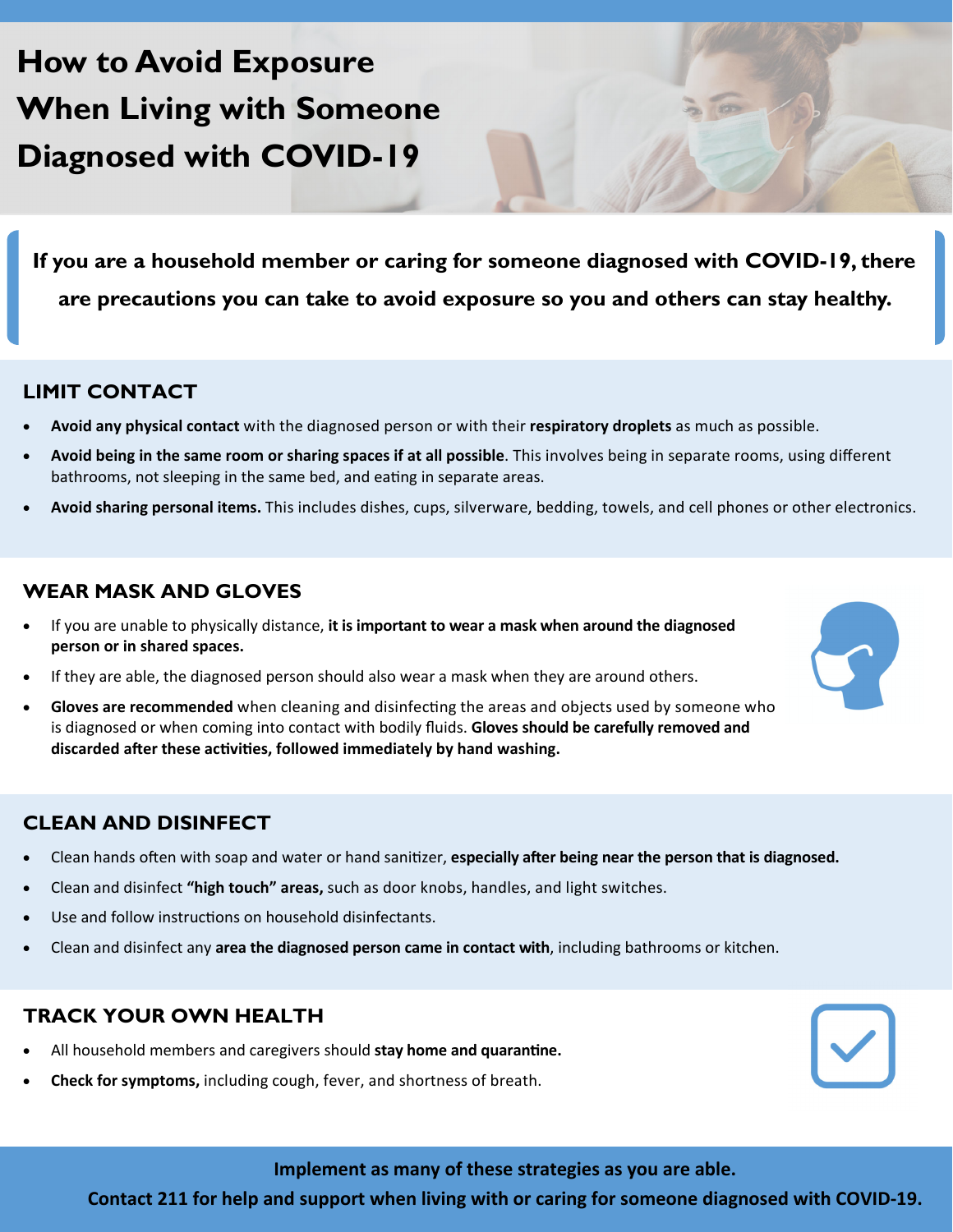# **How to Avoid Exposure When Living with Someone Diagnosed with COVID-19**

**If you are a household member or caring for someone diagnosed with COVID-19, there are precautions you can take to avoid exposure so you and others can stay healthy.** 

#### **LIMIT CONTACT**

- **Avoid any physical contact** with the diagnosed person or with their **respiratory droplets** as much as possible.
- **Avoid being in the same room or sharing spaces if at all possible**. This involves being in separate rooms, using different bathrooms, not sleeping in the same bed, and eating in separate areas.
- **Avoid sharing personal items.** This includes dishes, cups, silverware, bedding, towels, and cell phones or other electronics.

#### **WEAR MASK AND GLOVES**

- If you are unable to physically distance, **it is important to wear a mask when around the diagnosed person or in shared spaces.**
- If they are able, the diagnosed person should also wear a mask when they are around others.
- **Gloves are recommended** when cleaning and disinfecting the areas and objects used by someone who is diagnosed or when coming into contact with bodily fluids. **Gloves should be carefully removed and discarded aŌer these acƟviƟes, followed immediately by hand washing.**

#### **CLEAN AND DISINFECT**

- Clean hands often with soap and water or hand sanitizer, **especially after being near the person that is diagnosed.**
- Clean and disinfect **"high touch" areas,** such as door knobs, handles, and light switches.
- Use and follow instructions on household disinfectants.
- Clean and disinfect any **area the diagnosed person came in contact with**, including bathrooms or kitchen.

#### **TRACK YOUR OWN HEALTH**

- All household members and caregivers should stay home and quarantine.
- **Check for symptoms,** including cough, fever, and shortness of breath.

**Implement as many of these strategies as you are able.** 

**Contact 211 for help and support when living with or caring for someone diagnosed with COVID-19.**